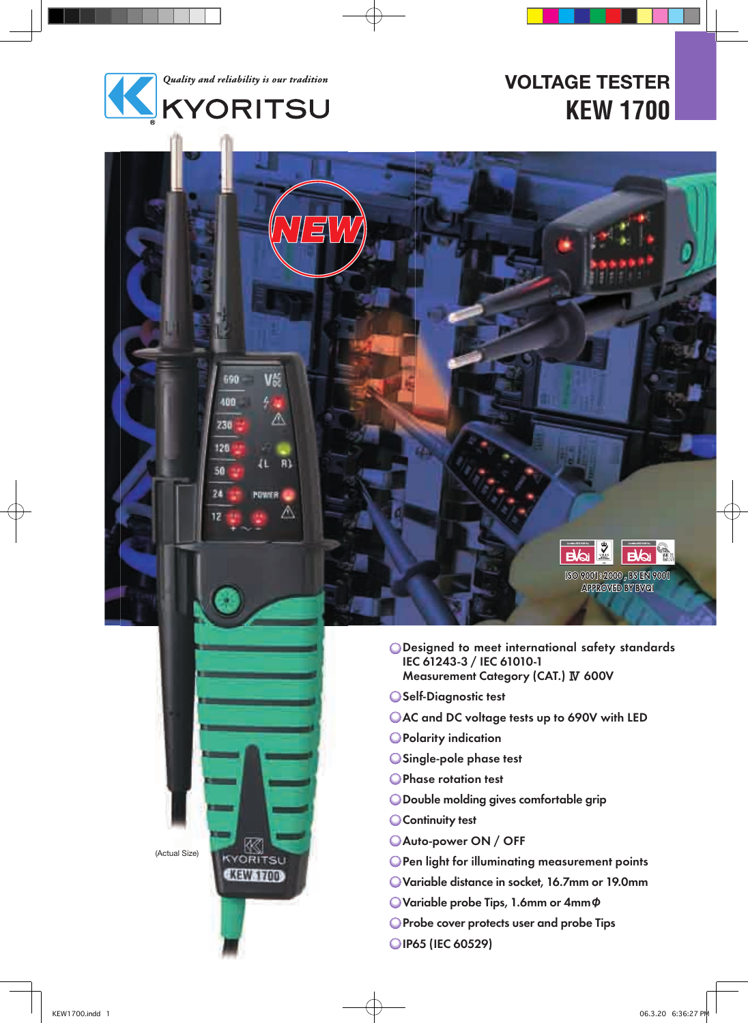

V

Λ

 $R$ 

л

POWER

690

400

730

120

50

24

12

# **VOLTAGE TESTER KEW 1700**

O Designed to meet international safety standards IEC 61243-3 / IEC 61010-1 Measurement Category (CAT.) Ⅳ 600V

 $\sum_{\substack{M\leq N\\ \text{min.}}}$ 

 $[{\mathcal{S}}{\mathcal{O}}\hspace{0.1cm}{\mathcal{S}}{\mathcal{O}}{\mathcal{O}}{\mathcal{O}}{\mathcal{O}}]: {\mathcal{Z}}{\mathcal{O}}{\mathcal{O}}{\mathcal{O}}\hspace{0.1cm} , {\mathcal{S}}{\mathcal{S}}\hspace{0.1cm} {\mathbb{R}}{\mathcal{V}}\hspace{0.1cm} {\mathcal{O}}{\mathcal{O}}{\mathcal{O}}{\mathcal{O}}$ <br>APROVED BY BVOL

**Bloi** 

 $\mathbf{a}$ 

- Self-Diagnostic test
- AC and DC voltage tests up to 690V with LED
- **OPolarity indication**
- Single-pole phase test
- Phase rotation test
- Double molding gives comfortable grip
- **Continuity test**
- Auto-power ON / OFF
- **OPen light for illuminating measurement points**
- Variable distance in socket, 16.7mm or 19.0mm
- Variable probe Tips, 1.6mm or 4mmφ
- **O** Probe cover protects user and probe Tips
- OIP65 (IEC 60529)

(Actual Size)

**KORITSU** 

**CKEWS 700**